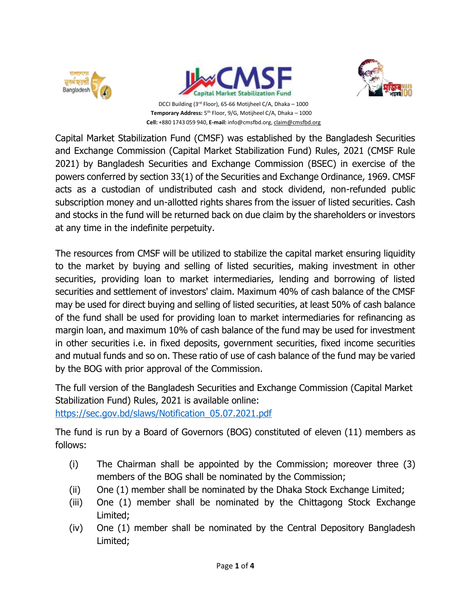



**Temporary Address:** 5 th Floor, 9/G, Motijheel C/A, Dhaka – 1000 **Cell:** +880 1743 059 940, **E-mail:** [info@cmsfbd.org,](mailto:info@cmsfbd.org) [claim@cmsfbd.org](mailto:claim@cmsfbd.org)



Capital Market Stabilization Fund (CMSF) was established by the Bangladesh Securities and Exchange Commission (Capital Market Stabilization Fund) Rules, 2021 (CMSF Rule 2021) by Bangladesh Securities and Exchange Commission (BSEC) in exercise of the powers conferred by section 33(1) of the Securities and Exchange Ordinance, 1969. CMSF acts as a custodian of undistributed cash and stock dividend, non-refunded public subscription money and un-allotted rights shares from the issuer of listed securities. Cash and stocks in the fund will be returned back on due claim by the shareholders or investors at any time in the indefinite perpetuity.

The resources from CMSF will be utilized to stabilize the capital market ensuring liquidity to the market by buying and selling of listed securities, making investment in other securities, providing loan to market intermediaries, lending and borrowing of listed securities and settlement of investors' claim. Maximum 40% of cash balance of the CMSF may be used for direct buying and selling of listed securities, at least 50% of cash balance of the fund shall be used for providing loan to market intermediaries for refinancing as margin loan, and maximum 10% of cash balance of the fund may be used for investment in other securities i.e. in fixed deposits, government securities, fixed income securities and mutual funds and so on. These ratio of use of cash balance of the fund may be varied by the BOG with prior approval of the Commission.

The full version of the Bangladesh Securities and Exchange Commission (Capital Market Stabilization Fund) Rules, 2021 is available online: [https://sec.gov.bd/slaws/Notification\\_05.07.2021.pdf](https://sec.gov.bd/slaws/Notification_05.07.2021.pdf)

The fund is run by a Board of Governors (BOG) constituted of eleven (11) members as follows:

- (i) The Chairman shall be appointed by the Commission; moreover three (3) members of the BOG shall be nominated by the Commission;
- (ii) One (1) member shall be nominated by the Dhaka Stock Exchange Limited;
- (iii) One (1) member shall be nominated by the Chittagong Stock Exchange Limited;
- (iv) One (1) member shall be nominated by the Central Depository Bangladesh Limited;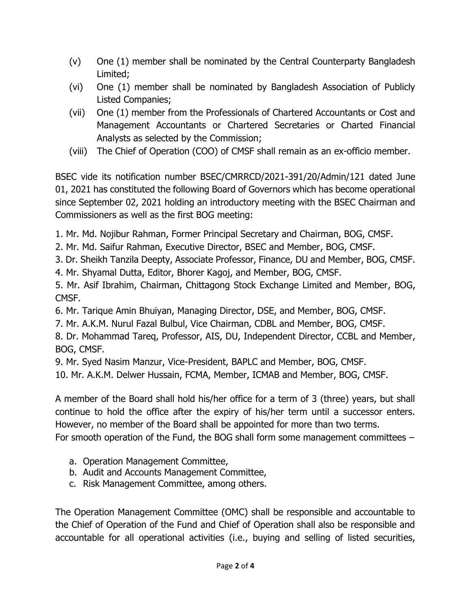- (v) One (1) member shall be nominated by the Central Counterparty Bangladesh Limited;
- (vi) One (1) member shall be nominated by Bangladesh Association of Publicly Listed Companies;
- (vii) One (1) member from the Professionals of Chartered Accountants or Cost and Management Accountants or Chartered Secretaries or Charted Financial Analysts as selected by the Commission;
- (viii) The Chief of Operation (COO) of CMSF shall remain as an ex-officio member.

BSEC vide its notification number BSEC/CMRRCD/2021-391/20/Admin/121 dated June 01, 2021 has constituted the following Board of Governors which has become operational since September 02, 2021 holding an introductory meeting with the BSEC Chairman and Commissioners as well as the first BOG meeting:

1. Mr. Md. Nojibur Rahman, Former Principal Secretary and Chairman, BOG, CMSF.

- 2. Mr. Md. Saifur Rahman, Executive Director, BSEC and Member, BOG, CMSF.
- 3. Dr. Sheikh Tanzila Deepty, Associate Professor, Finance, DU and Member, BOG, CMSF.
- 4. Mr. Shyamal Dutta, Editor, Bhorer Kagoj, and Member, BOG, CMSF.

5. Mr. Asif Ibrahim, Chairman, Chittagong Stock Exchange Limited and Member, BOG, CMSF.

6. Mr. Tarique Amin Bhuiyan, Managing Director, DSE, and Member, BOG, CMSF.

7. Mr. A.K.M. Nurul Fazal Bulbul, Vice Chairman, CDBL and Member, BOG, CMSF.

8. Dr. Mohammad Tareq, Professor, AIS, DU, Independent Director, CCBL and Member, BOG, CMSF.

9. Mr. Syed Nasim Manzur, Vice-President, BAPLC and Member, BOG, CMSF.

10. Mr. A.K.M. Delwer Hussain, FCMA, Member, ICMAB and Member, BOG, CMSF.

A member of the Board shall hold his/her office for a term of 3 (three) years, but shall continue to hold the office after the expiry of his/her term until a successor enters. However, no member of the Board shall be appointed for more than two terms. For smooth operation of the Fund, the BOG shall form some management committees –

- a. Operation Management Committee,
- b. Audit and Accounts Management Committee,
- c. Risk Management Committee, among others.

The Operation Management Committee (OMC) shall be responsible and accountable to the Chief of Operation of the Fund and Chief of Operation shall also be responsible and accountable for all operational activities (i.e., buying and selling of listed securities,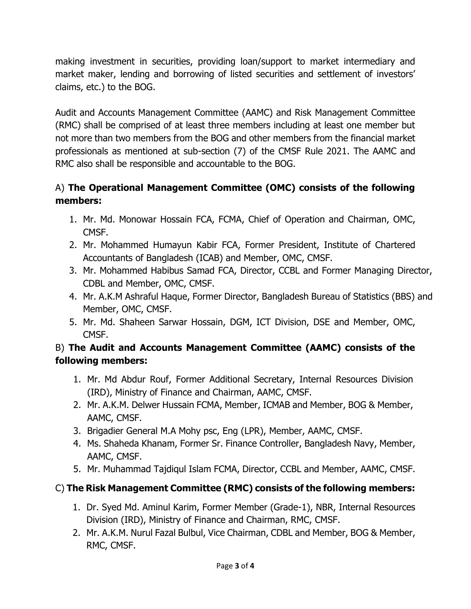making investment in securities, providing loan/support to market intermediary and market maker, lending and borrowing of listed securities and settlement of investors' claims, etc.) to the BOG.

Audit and Accounts Management Committee (AAMC) and Risk Management Committee (RMC) shall be comprised of at least three members including at least one member but not more than two members from the BOG and other members from the financial market professionals as mentioned at sub-section (7) of the CMSF Rule 2021. The AAMC and RMC also shall be responsible and accountable to the BOG.

## A) **The Operational Management Committee (OMC) consists of the following members:**

- 1. Mr. Md. Monowar Hossain FCA, FCMA, Chief of Operation and Chairman, OMC, CMSF.
- 2. Mr. Mohammed Humayun Kabir FCA, Former President, Institute of Chartered Accountants of Bangladesh (ICAB) and Member, OMC, CMSF.
- 3. Mr. Mohammed Habibus Samad FCA, Director, CCBL and Former Managing Director, CDBL and Member, OMC, CMSF.
- 4. Mr. A.K.M Ashraful Haque, Former Director, Bangladesh Bureau of Statistics (BBS) and Member, OMC, CMSF.
- 5. Mr. Md. Shaheen Sarwar Hossain, DGM, ICT Division, DSE and Member, OMC, CMSF.

## B) **The Audit and Accounts Management Committee (AAMC) consists of the following members:**

- 1. Mr. Md Abdur Rouf, Former Additional Secretary, Internal Resources Division (IRD), Ministry of Finance and Chairman, AAMC, CMSF.
- 2. Mr. A.K.M. Delwer Hussain FCMA, Member, ICMAB and Member, BOG & Member, AAMC, CMSF.
- 3. Brigadier General M.A Mohy psc, Eng (LPR), Member, AAMC, CMSF.
- 4. Ms. Shaheda Khanam, Former Sr. Finance Controller, Bangladesh Navy, Member, AAMC, CMSF.
- 5. Mr. Muhammad Tajdiqul Islam FCMA, Director, CCBL and Member, AAMC, CMSF.

## C) **The Risk Management Committee (RMC) consists of the following members:**

- 1. Dr. Syed Md. Aminul Karim, Former Member (Grade-1), NBR, Internal Resources Division (IRD), Ministry of Finance and Chairman, RMC, CMSF.
- 2. Mr. A.K.M. Nurul Fazal Bulbul, Vice Chairman, CDBL and Member, BOG & Member, RMC, CMSF.